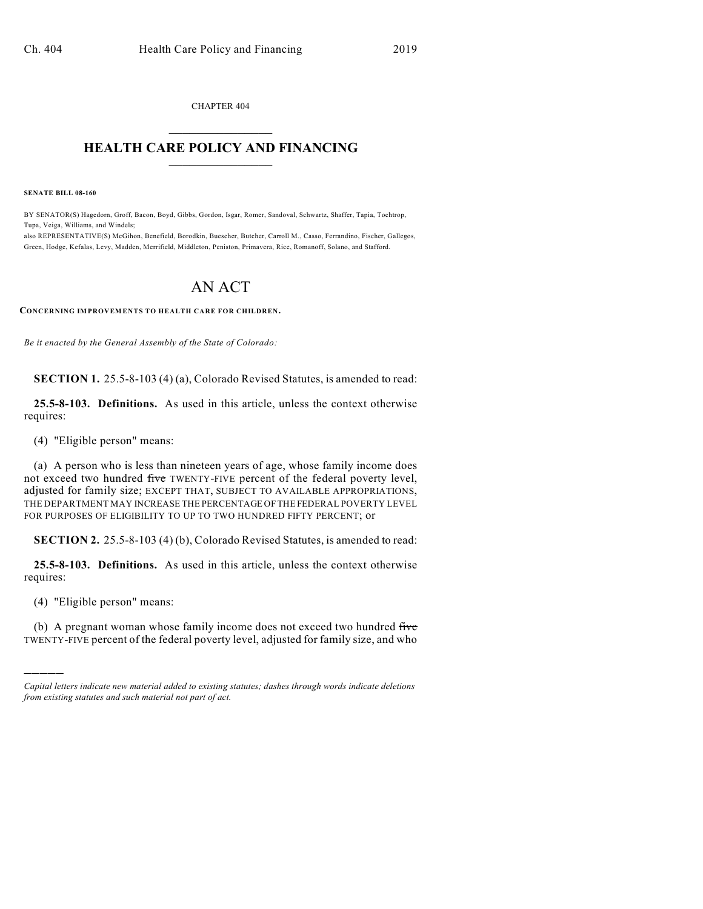CHAPTER 404  $\mathcal{L}_\text{max}$  . The set of the set of the set of the set of the set of the set of the set of the set of the set of the set of the set of the set of the set of the set of the set of the set of the set of the set of the set

## **HEALTH CARE POLICY AND FINANCING**  $\_$   $\_$   $\_$   $\_$   $\_$   $\_$   $\_$   $\_$

**SENATE BILL 08-160**

BY SENATOR(S) Hagedorn, Groff, Bacon, Boyd, Gibbs, Gordon, Isgar, Romer, Sandoval, Schwartz, Shaffer, Tapia, Tochtrop, Tupa, Veiga, Williams, and Windels;

also REPRESENTATIVE(S) McGihon, Benefield, Borodkin, Buescher, Butcher, Carroll M., Casso, Ferrandino, Fischer, Gallegos, Green, Hodge, Kefalas, Levy, Madden, Merrifield, Middleton, Peniston, Primavera, Rice, Romanoff, Solano, and Stafford.

## AN ACT

**CONCERNING IMPROVEMENTS TO HEALTH CARE FOR CHILDREN.**

*Be it enacted by the General Assembly of the State of Colorado:*

**SECTION 1.** 25.5-8-103 (4) (a), Colorado Revised Statutes, is amended to read:

**25.5-8-103. Definitions.** As used in this article, unless the context otherwise requires:

(4) "Eligible person" means:

(a) A person who is less than nineteen years of age, whose family income does not exceed two hundred five TWENTY-FIVE percent of the federal poverty level, adjusted for family size; EXCEPT THAT, SUBJECT TO AVAILABLE APPROPRIATIONS, THE DEPARTMENT MAY INCREASE THE PERCENTAGE OF THE FEDERAL POVERTY LEVEL FOR PURPOSES OF ELIGIBILITY TO UP TO TWO HUNDRED FIFTY PERCENT; or

**SECTION 2.** 25.5-8-103 (4) (b), Colorado Revised Statutes, is amended to read:

**25.5-8-103. Definitions.** As used in this article, unless the context otherwise requires:

(4) "Eligible person" means:

)))))

(b) A pregnant woman whose family income does not exceed two hundred five TWENTY-FIVE percent of the federal poverty level, adjusted for family size, and who

*Capital letters indicate new material added to existing statutes; dashes through words indicate deletions from existing statutes and such material not part of act.*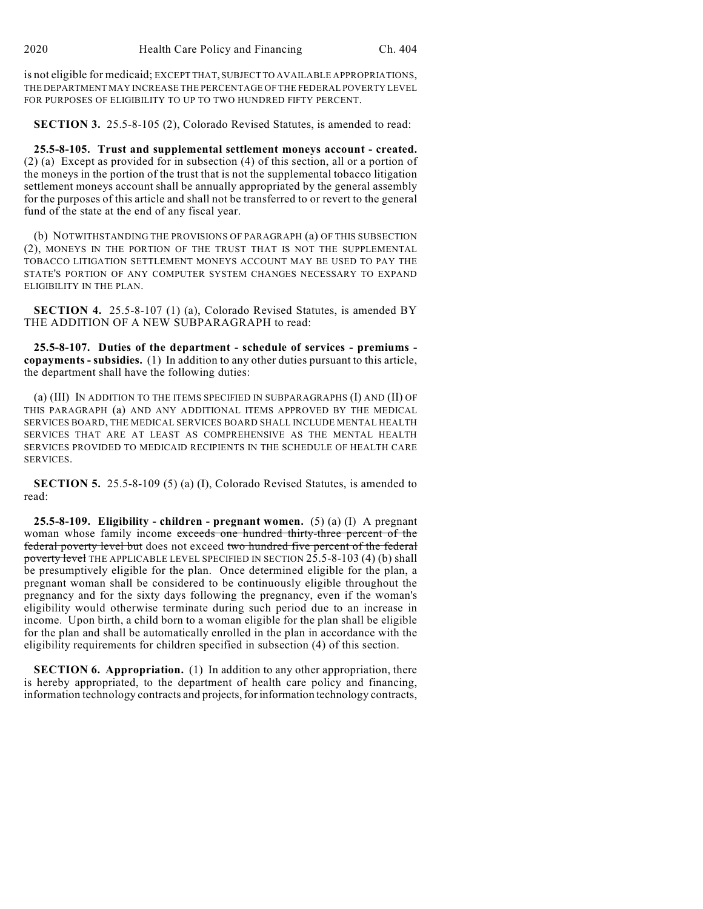is not eligible for medicaid; EXCEPT THAT, SUBJECT TO AVAILABLE APPROPRIATIONS, THE DEPARTMENT MAY INCREASE THE PERCENTAGE OF THE FEDERAL POVERTY LEVEL FOR PURPOSES OF ELIGIBILITY TO UP TO TWO HUNDRED FIFTY PERCENT.

**SECTION 3.** 25.5-8-105 (2), Colorado Revised Statutes, is amended to read:

**25.5-8-105. Trust and supplemental settlement moneys account - created.** (2) (a) Except as provided for in subsection (4) of this section, all or a portion of the moneys in the portion of the trust that is not the supplemental tobacco litigation settlement moneys account shall be annually appropriated by the general assembly for the purposes of this article and shall not be transferred to or revert to the general fund of the state at the end of any fiscal year.

(b) NOTWITHSTANDING THE PROVISIONS OF PARAGRAPH (a) OF THIS SUBSECTION (2), MONEYS IN THE PORTION OF THE TRUST THAT IS NOT THE SUPPLEMENTAL TOBACCO LITIGATION SETTLEMENT MONEYS ACCOUNT MAY BE USED TO PAY THE STATE'S PORTION OF ANY COMPUTER SYSTEM CHANGES NECESSARY TO EXPAND ELIGIBILITY IN THE PLAN.

**SECTION 4.** 25.5-8-107 (1) (a), Colorado Revised Statutes, is amended BY THE ADDITION OF A NEW SUBPARAGRAPH to read:

**25.5-8-107. Duties of the department - schedule of services - premiums copayments - subsidies.** (1) In addition to any other duties pursuant to this article, the department shall have the following duties:

(a) (III) IN ADDITION TO THE ITEMS SPECIFIED IN SUBPARAGRAPHS (I) AND (II) OF THIS PARAGRAPH (a) AND ANY ADDITIONAL ITEMS APPROVED BY THE MEDICAL SERVICES BOARD, THE MEDICAL SERVICES BOARD SHALL INCLUDE MENTAL HEALTH SERVICES THAT ARE AT LEAST AS COMPREHENSIVE AS THE MENTAL HEALTH SERVICES PROVIDED TO MEDICAID RECIPIENTS IN THE SCHEDULE OF HEALTH CARE SERVICES.

**SECTION 5.** 25.5-8-109 (5) (a) (I), Colorado Revised Statutes, is amended to read:

**25.5-8-109. Eligibility - children - pregnant women.** (5) (a) (I) A pregnant woman whose family income exceeds one hundred thirty-three percent of the federal poverty level but does not exceed two hundred five percent of the federal poverty level THE APPLICABLE LEVEL SPECIFIED IN SECTION 25.5-8-103 (4) (b) shall be presumptively eligible for the plan. Once determined eligible for the plan, a pregnant woman shall be considered to be continuously eligible throughout the pregnancy and for the sixty days following the pregnancy, even if the woman's eligibility would otherwise terminate during such period due to an increase in income. Upon birth, a child born to a woman eligible for the plan shall be eligible for the plan and shall be automatically enrolled in the plan in accordance with the eligibility requirements for children specified in subsection (4) of this section.

**SECTION 6. Appropriation.** (1) In addition to any other appropriation, there is hereby appropriated, to the department of health care policy and financing, information technology contracts and projects, for information technology contracts,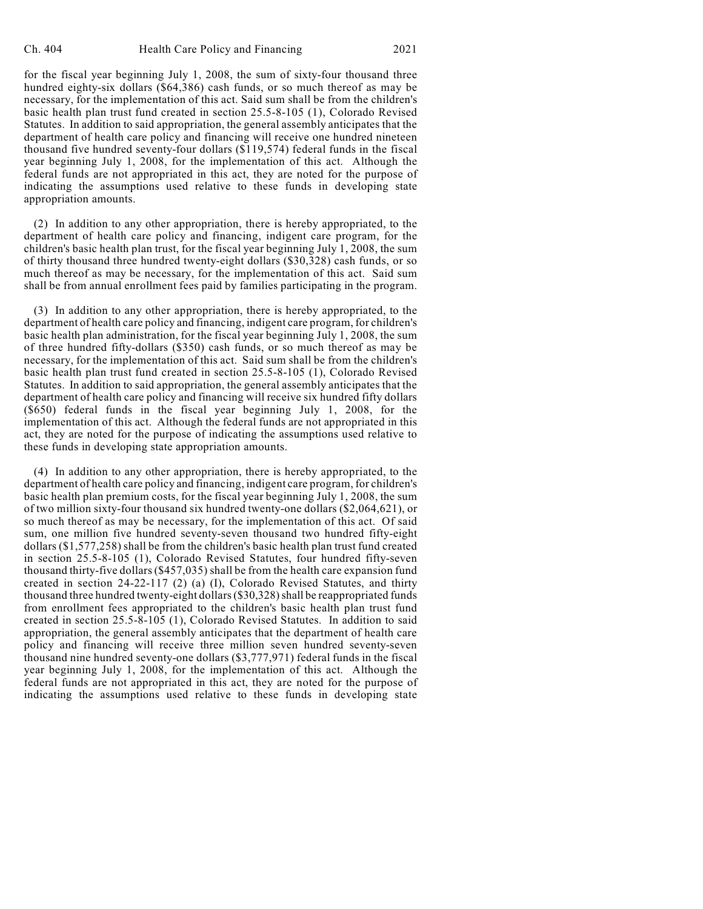for the fiscal year beginning July 1, 2008, the sum of sixty-four thousand three hundred eighty-six dollars (\$64,386) cash funds, or so much thereof as may be necessary, for the implementation of this act. Said sum shall be from the children's basic health plan trust fund created in section 25.5-8-105 (1), Colorado Revised Statutes. In addition to said appropriation, the general assembly anticipates that the department of health care policy and financing will receive one hundred nineteen thousand five hundred seventy-four dollars (\$119,574) federal funds in the fiscal year beginning July 1, 2008, for the implementation of this act. Although the federal funds are not appropriated in this act, they are noted for the purpose of indicating the assumptions used relative to these funds in developing state appropriation amounts.

(2) In addition to any other appropriation, there is hereby appropriated, to the department of health care policy and financing, indigent care program, for the children's basic health plan trust, for the fiscal year beginning July 1, 2008, the sum of thirty thousand three hundred twenty-eight dollars (\$30,328) cash funds, or so much thereof as may be necessary, for the implementation of this act. Said sum shall be from annual enrollment fees paid by families participating in the program.

(3) In addition to any other appropriation, there is hereby appropriated, to the department of health care policy and financing, indigent care program, for children's basic health plan administration, for the fiscal year beginning July 1, 2008, the sum of three hundred fifty-dollars (\$350) cash funds, or so much thereof as may be necessary, for the implementation of this act. Said sum shall be from the children's basic health plan trust fund created in section 25.5-8-105 (1), Colorado Revised Statutes. In addition to said appropriation, the general assembly anticipates that the department of health care policy and financing will receive six hundred fifty dollars (\$650) federal funds in the fiscal year beginning July 1, 2008, for the implementation of this act. Although the federal funds are not appropriated in this act, they are noted for the purpose of indicating the assumptions used relative to these funds in developing state appropriation amounts.

(4) In addition to any other appropriation, there is hereby appropriated, to the department of health care policy and financing, indigent care program, for children's basic health plan premium costs, for the fiscal year beginning July 1, 2008, the sum of two million sixty-four thousand six hundred twenty-one dollars (\$2,064,621), or so much thereof as may be necessary, for the implementation of this act. Of said sum, one million five hundred seventy-seven thousand two hundred fifty-eight dollars (\$1,577,258) shall be from the children's basic health plan trust fund created in section 25.5-8-105 (1), Colorado Revised Statutes, four hundred fifty-seven thousand thirty-five dollars (\$457,035) shall be from the health care expansion fund created in section 24-22-117 (2) (a) (I), Colorado Revised Statutes, and thirty thousand three hundred twenty-eight dollars (\$30,328) shall be reappropriated funds from enrollment fees appropriated to the children's basic health plan trust fund created in section 25.5-8-105 (1), Colorado Revised Statutes. In addition to said appropriation, the general assembly anticipates that the department of health care policy and financing will receive three million seven hundred seventy-seven thousand nine hundred seventy-one dollars (\$3,777,971) federal funds in the fiscal year beginning July 1, 2008, for the implementation of this act. Although the federal funds are not appropriated in this act, they are noted for the purpose of indicating the assumptions used relative to these funds in developing state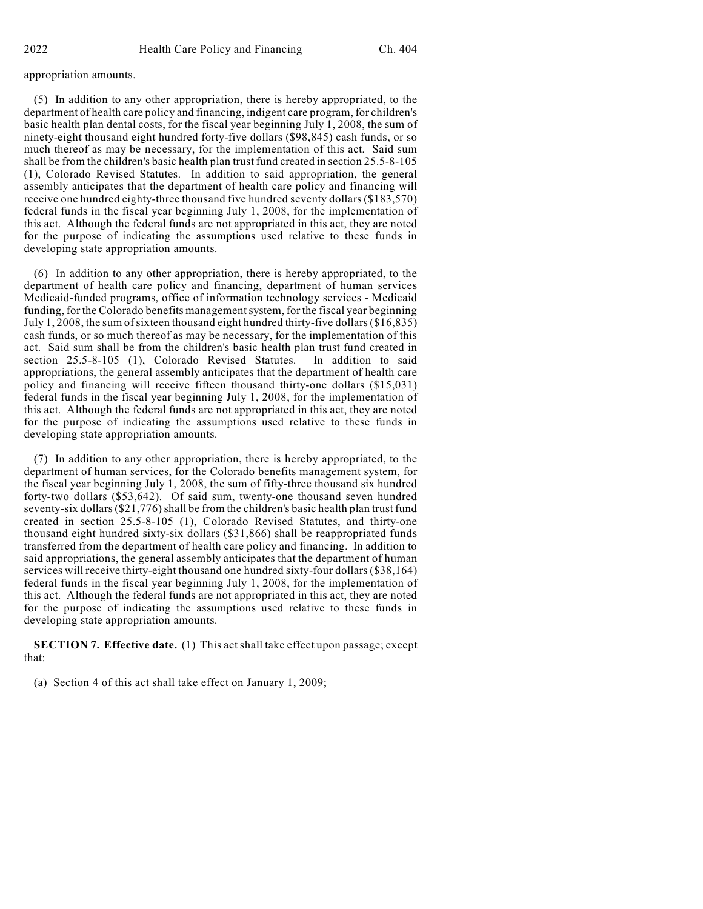## appropriation amounts.

(5) In addition to any other appropriation, there is hereby appropriated, to the department of health care policy and financing, indigent care program, for children's basic health plan dental costs, for the fiscal year beginning July 1, 2008, the sum of ninety-eight thousand eight hundred forty-five dollars (\$98,845) cash funds, or so much thereof as may be necessary, for the implementation of this act. Said sum shall be from the children's basic health plan trust fund created in section 25.5-8-105 (1), Colorado Revised Statutes. In addition to said appropriation, the general assembly anticipates that the department of health care policy and financing will receive one hundred eighty-three thousand five hundred seventy dollars (\$183,570) federal funds in the fiscal year beginning July 1, 2008, for the implementation of this act. Although the federal funds are not appropriated in this act, they are noted for the purpose of indicating the assumptions used relative to these funds in developing state appropriation amounts.

(6) In addition to any other appropriation, there is hereby appropriated, to the department of health care policy and financing, department of human services Medicaid-funded programs, office of information technology services - Medicaid funding, for the Colorado benefits management system, for the fiscal year beginning July 1, 2008, the sum ofsixteen thousand eight hundred thirty-five dollars (\$16,835) cash funds, or so much thereof as may be necessary, for the implementation of this act. Said sum shall be from the children's basic health plan trust fund created in section 25.5-8-105 (1), Colorado Revised Statutes. In addition to said appropriations, the general assembly anticipates that the department of health care policy and financing will receive fifteen thousand thirty-one dollars (\$15,031) federal funds in the fiscal year beginning July 1, 2008, for the implementation of this act. Although the federal funds are not appropriated in this act, they are noted for the purpose of indicating the assumptions used relative to these funds in developing state appropriation amounts.

(7) In addition to any other appropriation, there is hereby appropriated, to the department of human services, for the Colorado benefits management system, for the fiscal year beginning July 1, 2008, the sum of fifty-three thousand six hundred forty-two dollars (\$53,642). Of said sum, twenty-one thousand seven hundred seventy-six dollars (\$21,776) shall be from the children's basic health plan trust fund created in section 25.5-8-105 (1), Colorado Revised Statutes, and thirty-one thousand eight hundred sixty-six dollars (\$31,866) shall be reappropriated funds transferred from the department of health care policy and financing. In addition to said appropriations, the general assembly anticipates that the department of human services will receive thirty-eight thousand one hundred sixty-four dollars (\$38,164) federal funds in the fiscal year beginning July 1, 2008, for the implementation of this act. Although the federal funds are not appropriated in this act, they are noted for the purpose of indicating the assumptions used relative to these funds in developing state appropriation amounts.

**SECTION 7. Effective date.** (1) This act shall take effect upon passage; except that:

(a) Section 4 of this act shall take effect on January 1, 2009;